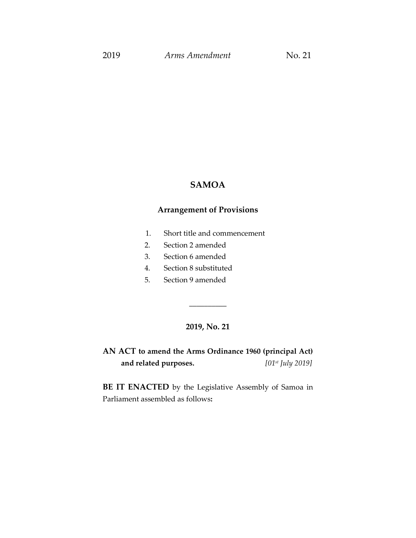# **SAMOA**

### **Arrangement of Provisions**

- 1. Short title and commencement
- 2. Section 2 amended
- 3. Section 6 amended
- 4. Section 8 substituted
- 5. Section 9 amended

# **2019, No. 21**

\_\_\_\_\_\_\_\_\_\_

**AN ACT to amend the Arms Ordinance 1960 (principal Act) and related purposes.** *[01st July 2019]*

**BE IT ENACTED** by the Legislative Assembly of Samoa in Parliament assembled as follows**:**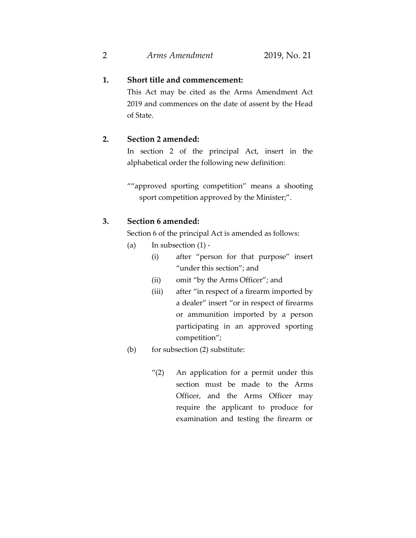# **1. Short title and commencement:**

This Act may be cited as the Arms Amendment Act 2019 and commences on the date of assent by the Head of State.

## **2. Section 2 amended:**

In section 2 of the principal Act, insert in the alphabetical order the following new definition:

""approved sporting competition" means a shooting sport competition approved by the Minister;".

### **3. Section 6 amended:**

Section 6 of the principal Act is amended as follows:

- (a) In subsection  $(1)$  -
	- (i) after "person for that purpose" insert "under this section"; and
	- (ii) omit "by the Arms Officer"; and
	- (iii) after "in respect of a firearm imported by a dealer" insert "or in respect of firearms or ammunition imported by a person participating in an approved sporting competition";

#### (b) for subsection (2) substitute:

"(2) An application for a permit under this section must be made to the Arms Officer, and the Arms Officer may require the applicant to produce for examination and testing the firearm or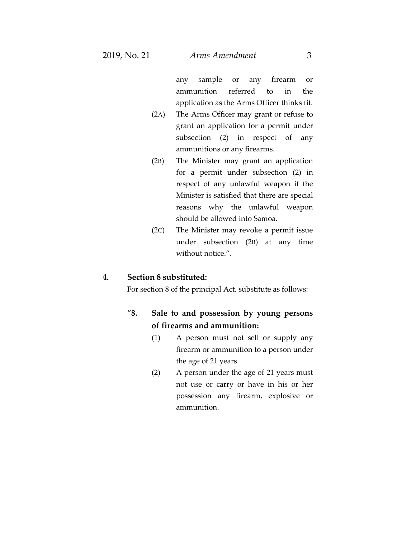any sample or any firearm or ammunition referred to in the application as the Arms Officer thinks fit.

- (2A) The Arms Officer may grant or refuse to grant an application for a permit under subsection (2) in respect of any ammunitions or any firearms.
- (2B) The Minister may grant an application for a permit under subsection (2) in respect of any unlawful weapon if the Minister is satisfied that there are special reasons why the unlawful weapon should be allowed into Samoa.
- (2C) The Minister may revoke a permit issue under subsection (2B) at any time without notice.".

#### **4. Section 8 substituted:**

For section 8 of the principal Act, substitute as follows:

# "**8. Sale to and possession by young persons of firearms and ammunition:**

- (1) A person must not sell or supply any firearm or ammunition to a person under the age of 21 years.
- (2) A person under the age of 21 years must not use or carry or have in his or her possession any firearm, explosive or ammunition.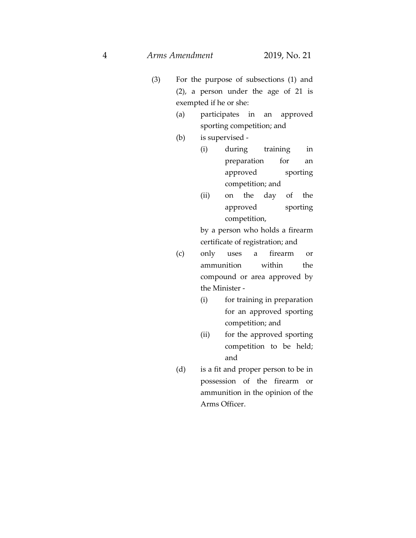- (3) For the purpose of subsections (1) and (2), a person under the age of 21 is exempted if he or she:
	- (a) participates in an approved sporting competition; and
	- (b) is supervised
		- (i) during training in preparation for an approved sporting competition; and
		- (ii) on the day of the approved sporting competition,

by a person who holds a firearm certificate of registration; and

- (c) only uses a firearm or ammunition within the compound or area approved by the Minister -
	- (i) for training in preparation for an approved sporting competition; and
	- (ii) for the approved sporting competition to be held; and
- (d) is a fit and proper person to be in possession of the firearm or ammunition in the opinion of the Arms Officer.